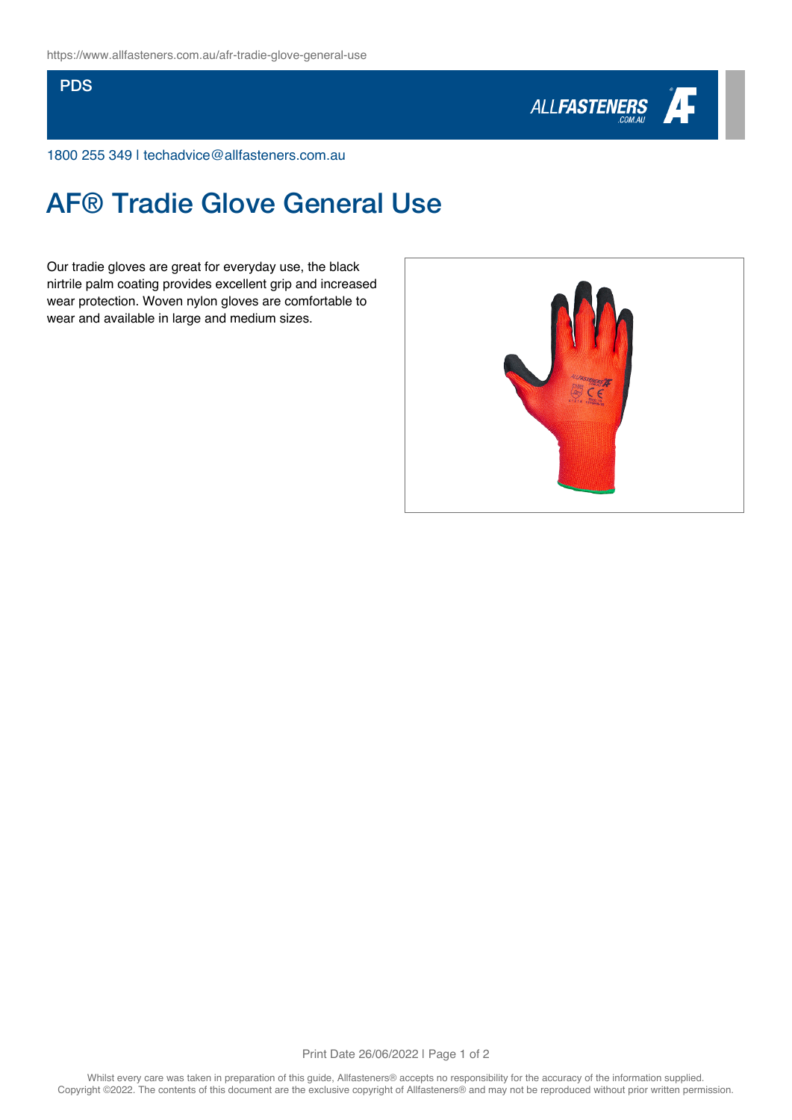## **PDS**



1800 255 349 | techadvice@allfasteners.com.au

## AF® Tradie Glove General Use

Our tradie gloves are great for everyday use, the black nirtrile palm coating provides excellent grip and increased wear protection. Woven nylon gloves are comfortable to wear and available in large and medium sizes.